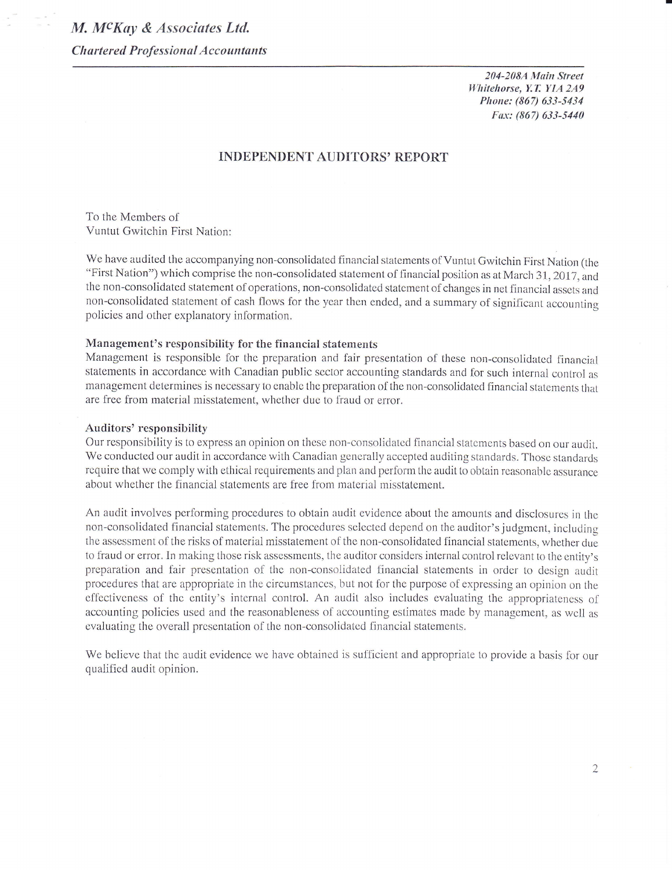204-208A Main Street Whitehorse, Y.T. Y1A 2A9 Phone: (867) 633-5434 Fax: (867) 633-5440

# **INDEPENDENT AUDITORS' REPORT**

To the Members of Vuntut Gwitchin First Nation:

We have audited the accompanying non-consolidated financial statements of Vuntut Gwitchin First Nation (the "First Nation") which comprise the non-consolidated statement of financial position as at March 31, 2017, and the non-consolidated statement of operations, non-consolidated statement of changes in net financial assets and non-consolidated statement of cash flows for the year then ended, and a summary of significant accounting policies and other explanatory information.

## Management's responsibility for the financial statements

Management is responsible for the preparation and fair presentation of these non-consolidated financial statements in accordance with Canadian public sector accounting standards and for such internal control as management determines is necessary to enable the preparation of the non-consolidated financial statements that are free from material misstatement, whether due to fraud or error.

#### **Auditors' responsibility**

Our responsibility is to express an opinion on these non-consolidated financial statements based on our audit. We conducted our audit in accordance with Canadian generally accepted auditing standards. Those standards require that we comply with ethical requirements and plan and perform the audit to obtain reasonable assurance about whether the financial statements are free from material misstatement.

An audit involves performing procedures to obtain audit evidence about the amounts and disclosures in the non-consolidated financial statements. The procedures selected depend on the auditor's judgment, including the assessment of the risks of material misstatement of the non-consolidated financial statements, whether due to fraud or error. In making those risk assessments, the auditor considers internal control relevant to the entity's preparation and fair presentation of the non-consolidated financial statements in order to design audit procedures that are appropriate in the circumstances, but not for the purpose of expressing an opinion on the effectiveness of the entity's internal control. An audit also includes evaluating the appropriateness of accounting policies used and the reasonableness of accounting estimates made by management, as well as evaluating the overall presentation of the non-consolidated financial statements.

We believe that the audit evidence we have obtained is sufficient and appropriate to provide a basis for our qualified audit opinion.